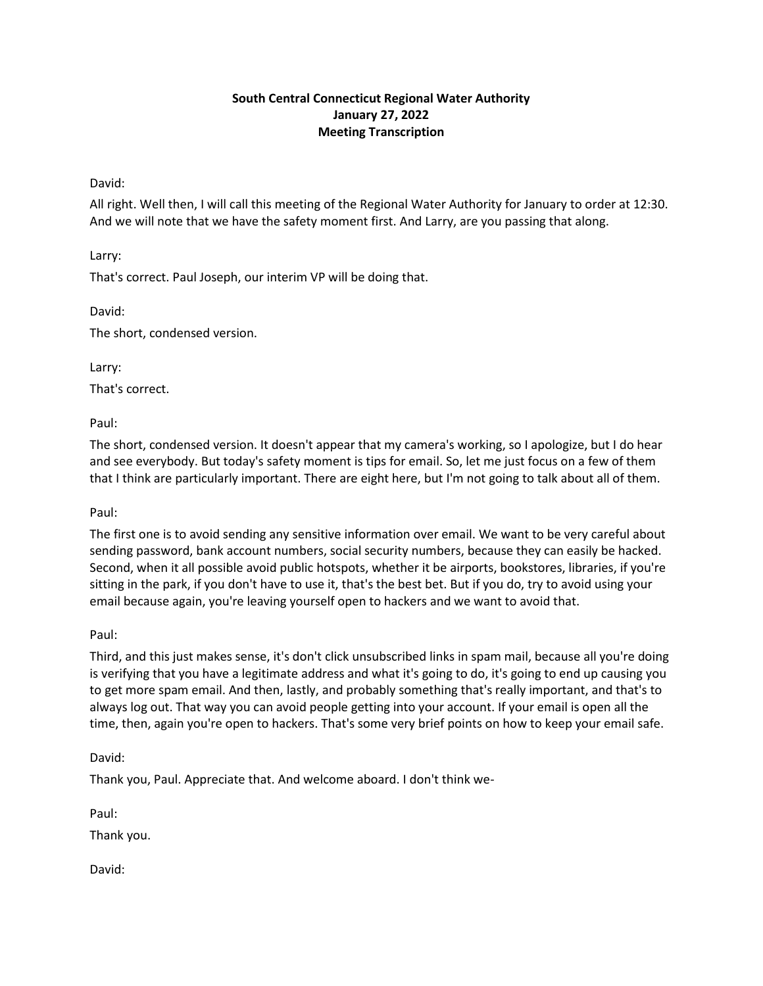# **South Central Connecticut Regional Water Authority January 27, 2022 Meeting Transcription**

## David:

All right. Well then, I will call this meeting of the Regional Water Authority for January to order at 12:30. And we will note that we have the safety moment first. And Larry, are you passing that along.

Larry:

That's correct. Paul Joseph, our interim VP will be doing that.

David:

The short, condensed version.

Larry:

That's correct.

Paul:

The short, condensed version. It doesn't appear that my camera's working, so I apologize, but I do hear and see everybody. But today's safety moment is tips for email. So, let me just focus on a few of them that I think are particularly important. There are eight here, but I'm not going to talk about all of them.

Paul:

The first one is to avoid sending any sensitive information over email. We want to be very careful about sending password, bank account numbers, social security numbers, because they can easily be hacked. Second, when it all possible avoid public hotspots, whether it be airports, bookstores, libraries, if you're sitting in the park, if you don't have to use it, that's the best bet. But if you do, try to avoid using your email because again, you're leaving yourself open to hackers and we want to avoid that.

Paul:

Third, and this just makes sense, it's don't click unsubscribed links in spam mail, because all you're doing is verifying that you have a legitimate address and what it's going to do, it's going to end up causing you to get more spam email. And then, lastly, and probably something that's really important, and that's to always log out. That way you can avoid people getting into your account. If your email is open all the time, then, again you're open to hackers. That's some very brief points on how to keep your email safe.

David:

Thank you, Paul. Appreciate that. And welcome aboard. I don't think we-

Paul:

Thank you.

David: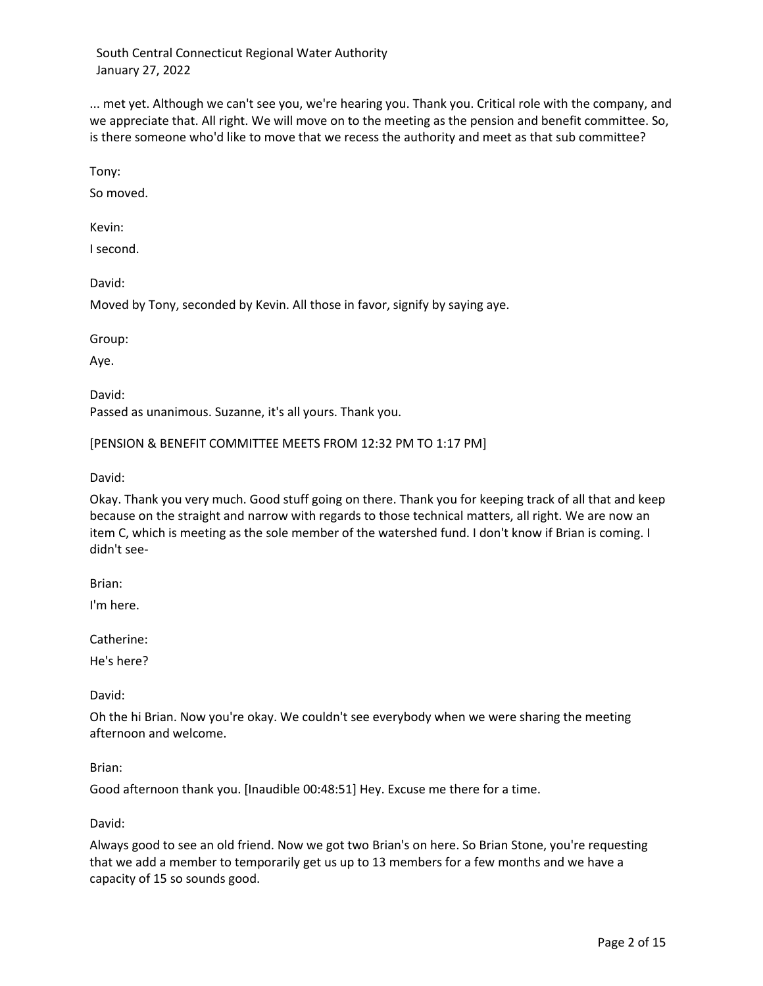... met yet. Although we can't see you, we're hearing you. Thank you. Critical role with the company, and we appreciate that. All right. We will move on to the meeting as the pension and benefit committee. So, is there someone who'd like to move that we recess the authority and meet as that sub committee?

Tony:

So moved.

Kevin:

I second.

David:

Moved by Tony, seconded by Kevin. All those in favor, signify by saying aye.

Group:

Aye.

David: Passed as unanimous. Suzanne, it's all yours. Thank you.

[PENSION & BENEFIT COMMITTEE MEETS FROM 12:32 PM TO 1:17 PM]

David:

Okay. Thank you very much. Good stuff going on there. Thank you for keeping track of all that and keep because on the straight and narrow with regards to those technical matters, all right. We are now an item C, which is meeting as the sole member of the watershed fund. I don't know if Brian is coming. I didn't see-

Brian:

I'm here.

Catherine:

He's here?

David:

Oh the hi Brian. Now you're okay. We couldn't see everybody when we were sharing the meeting afternoon and welcome.

#### Brian:

Good afternoon thank you. [Inaudible 00:48:51] Hey. Excuse me there for a time.

#### David:

Always good to see an old friend. Now we got two Brian's on here. So Brian Stone, you're requesting that we add a member to temporarily get us up to 13 members for a few months and we have a capacity of 15 so sounds good.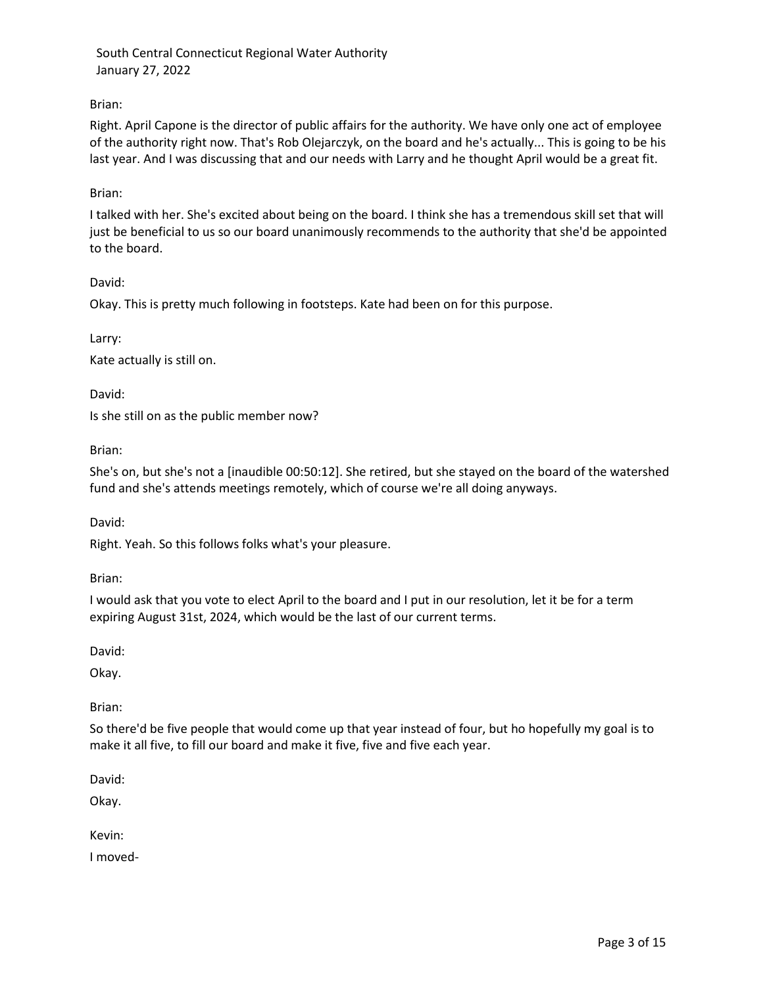# Brian:

Right. April Capone is the director of public affairs for the authority. We have only one act of employee of the authority right now. That's Rob Olejarczyk, on the board and he's actually... This is going to be his last year. And I was discussing that and our needs with Larry and he thought April would be a great fit.

### Brian:

I talked with her. She's excited about being on the board. I think she has a tremendous skill set that will just be beneficial to us so our board unanimously recommends to the authority that she'd be appointed to the board.

David:

Okay. This is pretty much following in footsteps. Kate had been on for this purpose.

Larry:

Kate actually is still on.

David:

Is she still on as the public member now?

Brian:

She's on, but she's not a [inaudible 00:50:12]. She retired, but she stayed on the board of the watershed fund and she's attends meetings remotely, which of course we're all doing anyways.

David:

Right. Yeah. So this follows folks what's your pleasure.

Brian:

I would ask that you vote to elect April to the board and I put in our resolution, let it be for a term expiring August 31st, 2024, which would be the last of our current terms.

David:

Okay.

Brian:

So there'd be five people that would come up that year instead of four, but ho hopefully my goal is to make it all five, to fill our board and make it five, five and five each year.

David:

Okay.

Kevin:

I moved-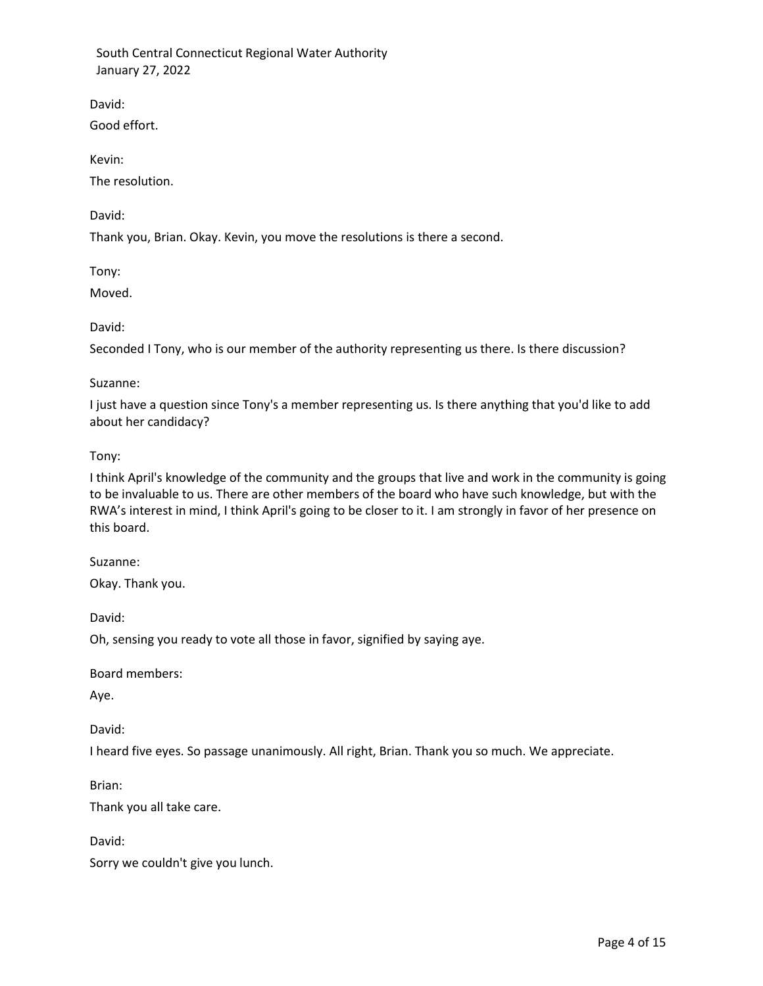David:

Good effort.

Kevin:

The resolution.

David:

Thank you, Brian. Okay. Kevin, you move the resolutions is there a second.

Tony:

Moved.

David:

Seconded I Tony, who is our member of the authority representing us there. Is there discussion?

## Suzanne:

I just have a question since Tony's a member representing us. Is there anything that you'd like to add about her candidacy?

Tony:

I think April's knowledge of the community and the groups that live and work in the community is going to be invaluable to us. There are other members of the board who have such knowledge, but with the RWA's interest in mind, I think April's going to be closer to it. I am strongly in favor of her presence on this board.

Suzanne:

Okay. Thank you.

David:

Oh, sensing you ready to vote all those in favor, signified by saying aye.

Board members:

Aye.

David:

I heard five eyes. So passage unanimously. All right, Brian. Thank you so much. We appreciate.

Brian:

Thank you all take care.

David:

Sorry we couldn't give you lunch.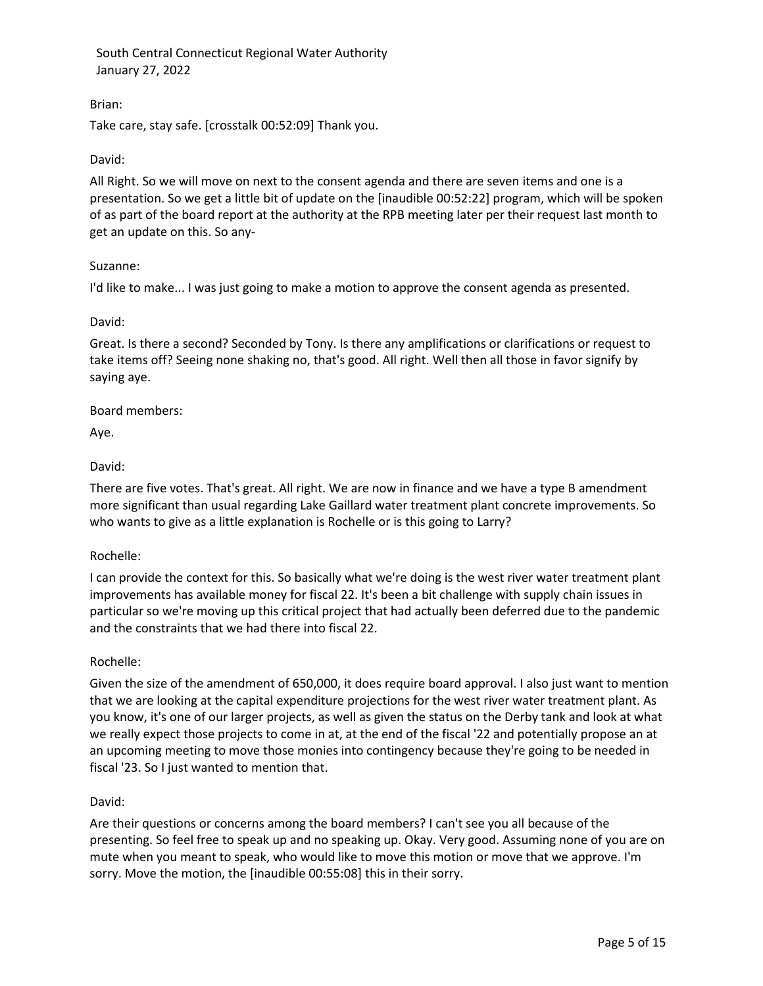## Brian:

Take care, stay safe. [crosstalk 00:52:09] Thank you.

## David:

All Right. So we will move on next to the consent agenda and there are seven items and one is a presentation. So we get a little bit of update on the [inaudible 00:52:22] program, which will be spoken of as part of the board report at the authority at the RPB meeting later per their request last month to get an update on this. So any-

## Suzanne:

I'd like to make... I was just going to make a motion to approve the consent agenda as presented.

### David:

Great. Is there a second? Seconded by Tony. Is there any amplifications or clarifications or request to take items off? Seeing none shaking no, that's good. All right. Well then all those in favor signify by saying aye.

### Board members:

Aye.

### David:

There are five votes. That's great. All right. We are now in finance and we have a type B amendment more significant than usual regarding Lake Gaillard water treatment plant concrete improvements. So who wants to give as a little explanation is Rochelle or is this going to Larry?

## Rochelle:

I can provide the context for this. So basically what we're doing is the west river water treatment plant improvements has available money for fiscal 22. It's been a bit challenge with supply chain issues in particular so we're moving up this critical project that had actually been deferred due to the pandemic and the constraints that we had there into fiscal 22.

## Rochelle:

Given the size of the amendment of 650,000, it does require board approval. I also just want to mention that we are looking at the capital expenditure projections for the west river water treatment plant. As you know, it's one of our larger projects, as well as given the status on the Derby tank and look at what we really expect those projects to come in at, at the end of the fiscal '22 and potentially propose an at an upcoming meeting to move those monies into contingency because they're going to be needed in fiscal '23. So I just wanted to mention that.

## David:

Are their questions or concerns among the board members? I can't see you all because of the presenting. So feel free to speak up and no speaking up. Okay. Very good. Assuming none of you are on mute when you meant to speak, who would like to move this motion or move that we approve. I'm sorry. Move the motion, the [inaudible 00:55:08] this in their sorry.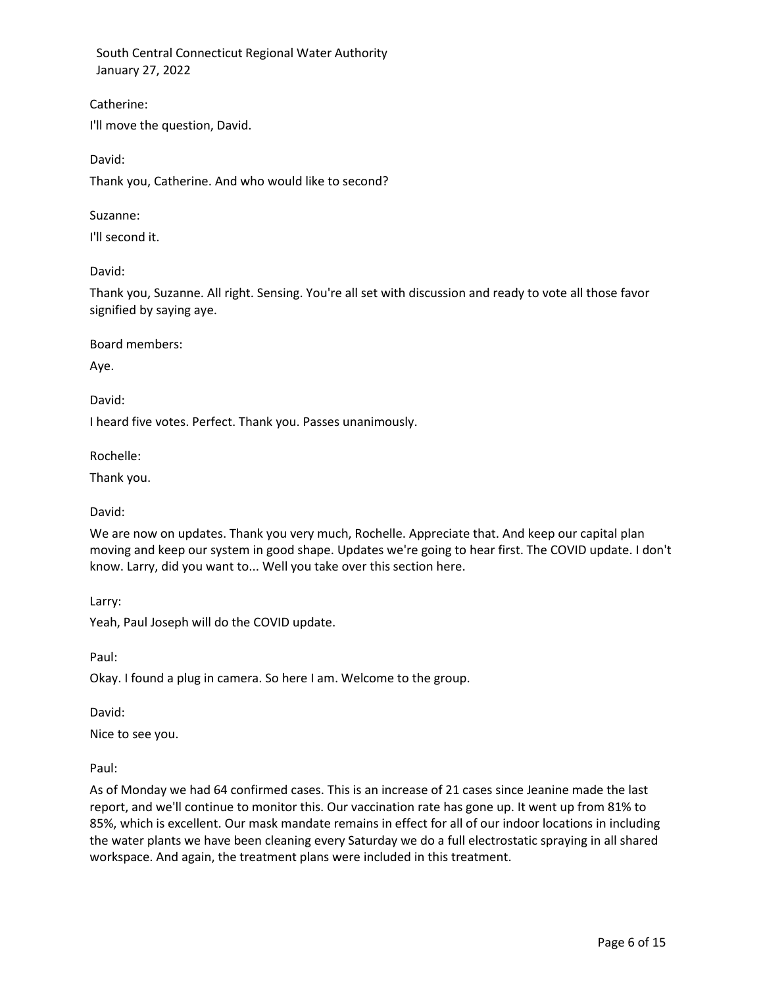Catherine: I'll move the question, David.

David:

Thank you, Catherine. And who would like to second?

Suzanne:

I'll second it.

David:

Thank you, Suzanne. All right. Sensing. You're all set with discussion and ready to vote all those favor signified by saying aye.

Board members:

Aye.

David:

I heard five votes. Perfect. Thank you. Passes unanimously.

Rochelle:

Thank you.

David:

We are now on updates. Thank you very much, Rochelle. Appreciate that. And keep our capital plan moving and keep our system in good shape. Updates we're going to hear first. The COVID update. I don't know. Larry, did you want to... Well you take over this section here.

Larry:

Yeah, Paul Joseph will do the COVID update.

Paul:

Okay. I found a plug in camera. So here I am. Welcome to the group.

David:

Nice to see you.

Paul:

As of Monday we had 64 confirmed cases. This is an increase of 21 cases since Jeanine made the last report, and we'll continue to monitor this. Our vaccination rate has gone up. It went up from 81% to 85%, which is excellent. Our mask mandate remains in effect for all of our indoor locations in including the water plants we have been cleaning every Saturday we do a full electrostatic spraying in all shared workspace. And again, the treatment plans were included in this treatment.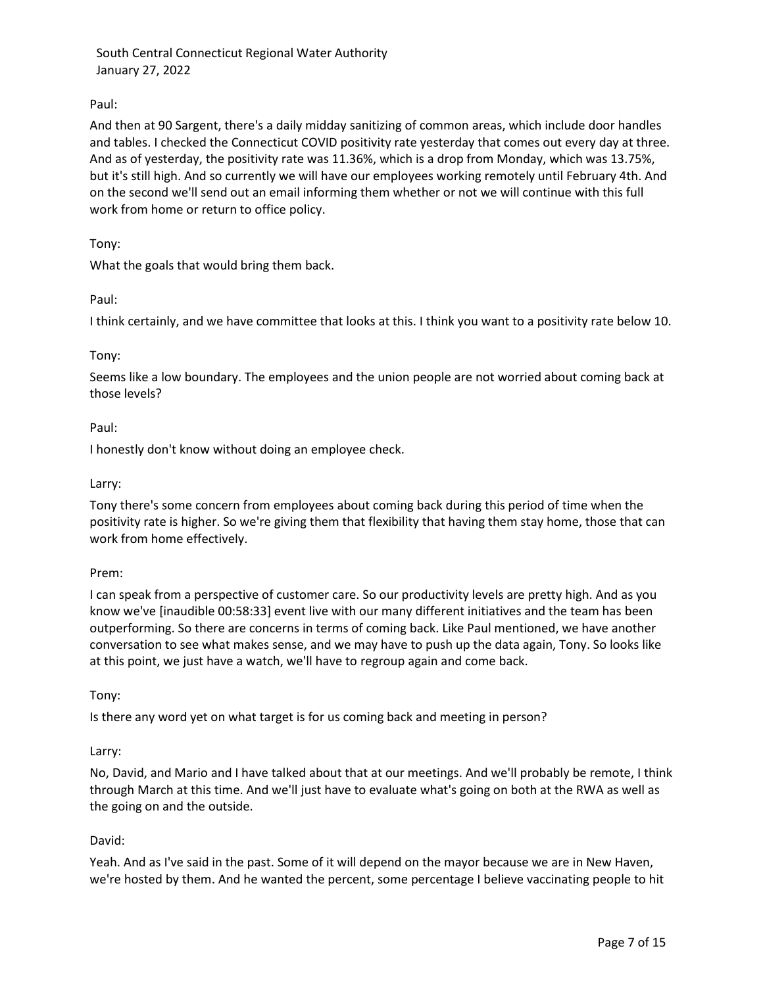# Paul:

And then at 90 Sargent, there's a daily midday sanitizing of common areas, which include door handles and tables. I checked the Connecticut COVID positivity rate yesterday that comes out every day at three. And as of yesterday, the positivity rate was 11.36%, which is a drop from Monday, which was 13.75%, but it's still high. And so currently we will have our employees working remotely until February 4th. And on the second we'll send out an email informing them whether or not we will continue with this full work from home or return to office policy.

## Tony:

What the goals that would bring them back.

# Paul:

I think certainly, and we have committee that looks at this. I think you want to a positivity rate below 10.

# Tony:

Seems like a low boundary. The employees and the union people are not worried about coming back at those levels?

# Paul:

I honestly don't know without doing an employee check.

## Larry:

Tony there's some concern from employees about coming back during this period of time when the positivity rate is higher. So we're giving them that flexibility that having them stay home, those that can work from home effectively.

## Prem:

I can speak from a perspective of customer care. So our productivity levels are pretty high. And as you know we've [inaudible 00:58:33] event live with our many different initiatives and the team has been outperforming. So there are concerns in terms of coming back. Like Paul mentioned, we have another conversation to see what makes sense, and we may have to push up the data again, Tony. So looks like at this point, we just have a watch, we'll have to regroup again and come back.

## Tony:

Is there any word yet on what target is for us coming back and meeting in person?

## Larry:

No, David, and Mario and I have talked about that at our meetings. And we'll probably be remote, I think through March at this time. And we'll just have to evaluate what's going on both at the RWA as well as the going on and the outside.

## David:

Yeah. And as I've said in the past. Some of it will depend on the mayor because we are in New Haven, we're hosted by them. And he wanted the percent, some percentage I believe vaccinating people to hit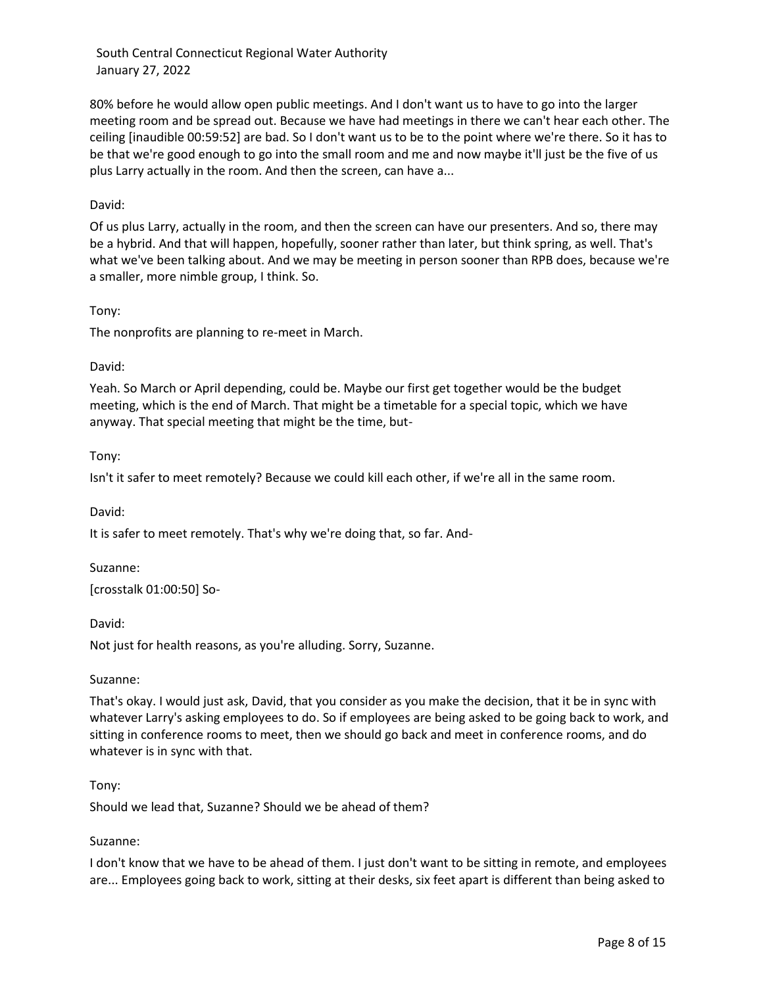80% before he would allow open public meetings. And I don't want us to have to go into the larger meeting room and be spread out. Because we have had meetings in there we can't hear each other. The ceiling [inaudible 00:59:52] are bad. So I don't want us to be to the point where we're there. So it has to be that we're good enough to go into the small room and me and now maybe it'll just be the five of us plus Larry actually in the room. And then the screen, can have a...

### David:

Of us plus Larry, actually in the room, and then the screen can have our presenters. And so, there may be a hybrid. And that will happen, hopefully, sooner rather than later, but think spring, as well. That's what we've been talking about. And we may be meeting in person sooner than RPB does, because we're a smaller, more nimble group, I think. So.

### Tony:

The nonprofits are planning to re-meet in March.

#### David:

Yeah. So March or April depending, could be. Maybe our first get together would be the budget meeting, which is the end of March. That might be a timetable for a special topic, which we have anyway. That special meeting that might be the time, but-

### Tony:

Isn't it safer to meet remotely? Because we could kill each other, if we're all in the same room.

David:

It is safer to meet remotely. That's why we're doing that, so far. And-

#### Suzanne:

[crosstalk 01:00:50] So-

David:

Not just for health reasons, as you're alluding. Sorry, Suzanne.

#### Suzanne:

That's okay. I would just ask, David, that you consider as you make the decision, that it be in sync with whatever Larry's asking employees to do. So if employees are being asked to be going back to work, and sitting in conference rooms to meet, then we should go back and meet in conference rooms, and do whatever is in sync with that.

#### Tony:

Should we lead that, Suzanne? Should we be ahead of them?

#### Suzanne:

I don't know that we have to be ahead of them. I just don't want to be sitting in remote, and employees are... Employees going back to work, sitting at their desks, six feet apart is different than being asked to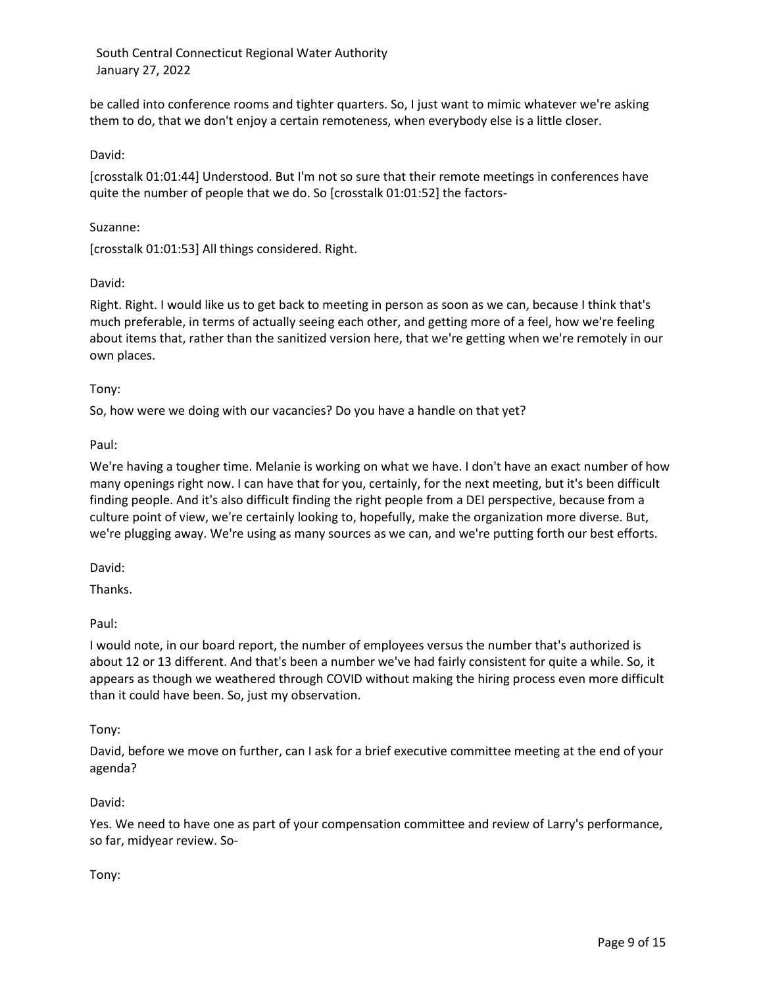be called into conference rooms and tighter quarters. So, I just want to mimic whatever we're asking them to do, that we don't enjoy a certain remoteness, when everybody else is a little closer.

### David:

[crosstalk 01:01:44] Understood. But I'm not so sure that their remote meetings in conferences have quite the number of people that we do. So [crosstalk 01:01:52] the factors-

#### Suzanne:

[crosstalk 01:01:53] All things considered. Right.

### David:

Right. Right. I would like us to get back to meeting in person as soon as we can, because I think that's much preferable, in terms of actually seeing each other, and getting more of a feel, how we're feeling about items that, rather than the sanitized version here, that we're getting when we're remotely in our own places.

### Tony:

So, how were we doing with our vacancies? Do you have a handle on that yet?

### Paul:

We're having a tougher time. Melanie is working on what we have. I don't have an exact number of how many openings right now. I can have that for you, certainly, for the next meeting, but it's been difficult finding people. And it's also difficult finding the right people from a DEI perspective, because from a culture point of view, we're certainly looking to, hopefully, make the organization more diverse. But, we're plugging away. We're using as many sources as we can, and we're putting forth our best efforts.

David:

Thanks.

#### Paul:

I would note, in our board report, the number of employees versus the number that's authorized is about 12 or 13 different. And that's been a number we've had fairly consistent for quite a while. So, it appears as though we weathered through COVID without making the hiring process even more difficult than it could have been. So, just my observation.

#### Tony:

David, before we move on further, can I ask for a brief executive committee meeting at the end of your agenda?

#### David:

Yes. We need to have one as part of your compensation committee and review of Larry's performance, so far, midyear review. So-

#### Tony: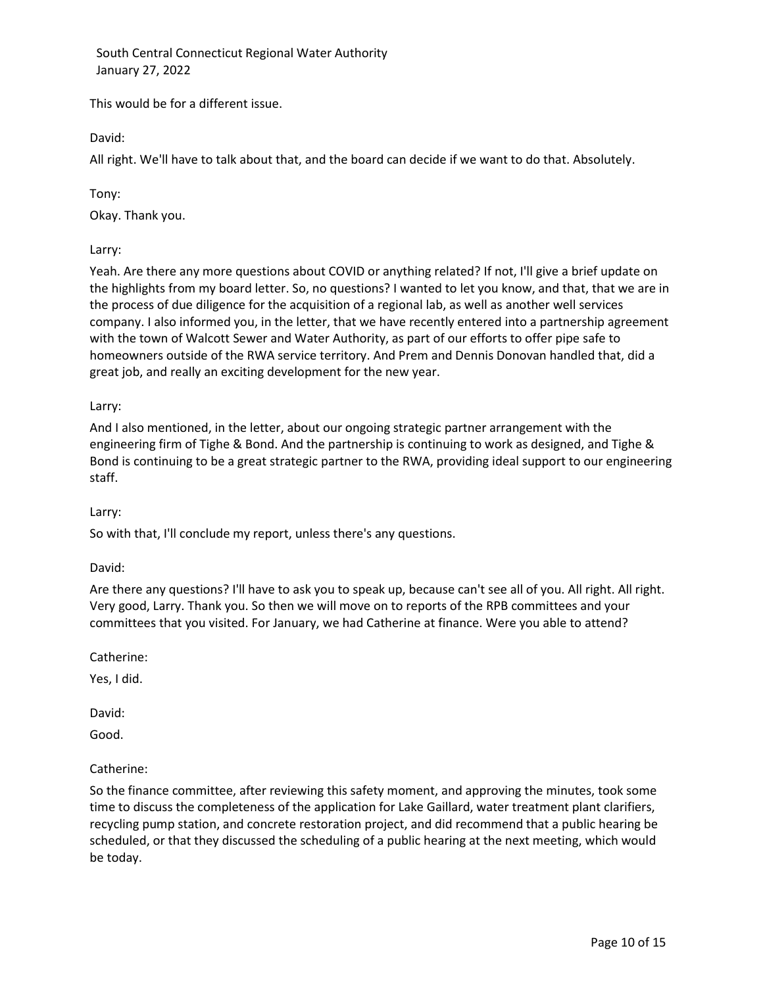This would be for a different issue.

David:

All right. We'll have to talk about that, and the board can decide if we want to do that. Absolutely.

Tony:

Okay. Thank you.

Larry:

Yeah. Are there any more questions about COVID or anything related? If not, I'll give a brief update on the highlights from my board letter. So, no questions? I wanted to let you know, and that, that we are in the process of due diligence for the acquisition of a regional lab, as well as another well services company. I also informed you, in the letter, that we have recently entered into a partnership agreement with the town of Walcott Sewer and Water Authority, as part of our efforts to offer pipe safe to homeowners outside of the RWA service territory. And Prem and Dennis Donovan handled that, did a great job, and really an exciting development for the new year.

## Larry:

And I also mentioned, in the letter, about our ongoing strategic partner arrangement with the engineering firm of Tighe & Bond. And the partnership is continuing to work as designed, and Tighe & Bond is continuing to be a great strategic partner to the RWA, providing ideal support to our engineering staff.

## Larry:

So with that, I'll conclude my report, unless there's any questions.

David:

Are there any questions? I'll have to ask you to speak up, because can't see all of you. All right. All right. Very good, Larry. Thank you. So then we will move on to reports of the RPB committees and your committees that you visited. For January, we had Catherine at finance. Were you able to attend?

Catherine:

Yes, I did.

David:

Good.

## Catherine:

So the finance committee, after reviewing this safety moment, and approving the minutes, took some time to discuss the completeness of the application for Lake Gaillard, water treatment plant clarifiers, recycling pump station, and concrete restoration project, and did recommend that a public hearing be scheduled, or that they discussed the scheduling of a public hearing at the next meeting, which would be today.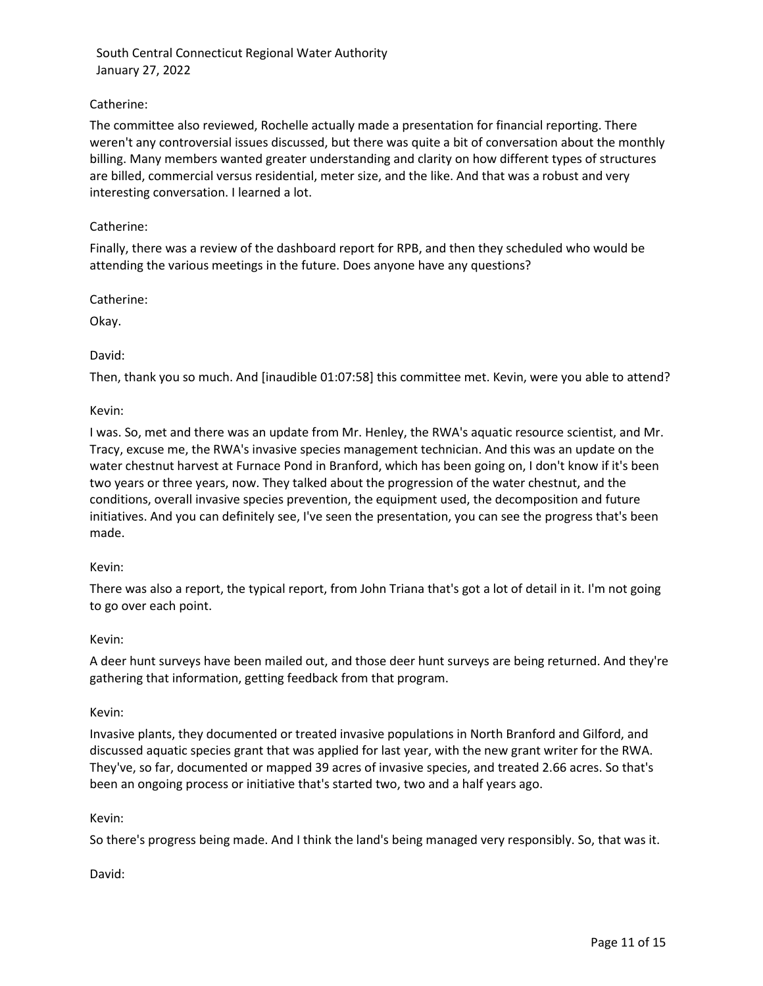## Catherine:

The committee also reviewed, Rochelle actually made a presentation for financial reporting. There weren't any controversial issues discussed, but there was quite a bit of conversation about the monthly billing. Many members wanted greater understanding and clarity on how different types of structures are billed, commercial versus residential, meter size, and the like. And that was a robust and very interesting conversation. I learned a lot.

## Catherine:

Finally, there was a review of the dashboard report for RPB, and then they scheduled who would be attending the various meetings in the future. Does anyone have any questions?

Catherine:

Okay.

### David:

Then, thank you so much. And [inaudible 01:07:58] this committee met. Kevin, were you able to attend?

Kevin:

I was. So, met and there was an update from Mr. Henley, the RWA's aquatic resource scientist, and Mr. Tracy, excuse me, the RWA's invasive species management technician. And this was an update on the water chestnut harvest at Furnace Pond in Branford, which has been going on, I don't know if it's been two years or three years, now. They talked about the progression of the water chestnut, and the conditions, overall invasive species prevention, the equipment used, the decomposition and future initiatives. And you can definitely see, I've seen the presentation, you can see the progress that's been made.

#### Kevin:

There was also a report, the typical report, from John Triana that's got a lot of detail in it. I'm not going to go over each point.

#### Kevin:

A deer hunt surveys have been mailed out, and those deer hunt surveys are being returned. And they're gathering that information, getting feedback from that program.

#### Kevin:

Invasive plants, they documented or treated invasive populations in North Branford and Gilford, and discussed aquatic species grant that was applied for last year, with the new grant writer for the RWA. They've, so far, documented or mapped 39 acres of invasive species, and treated 2.66 acres. So that's been an ongoing process or initiative that's started two, two and a half years ago.

## Kevin:

So there's progress being made. And I think the land's being managed very responsibly. So, that was it.

David: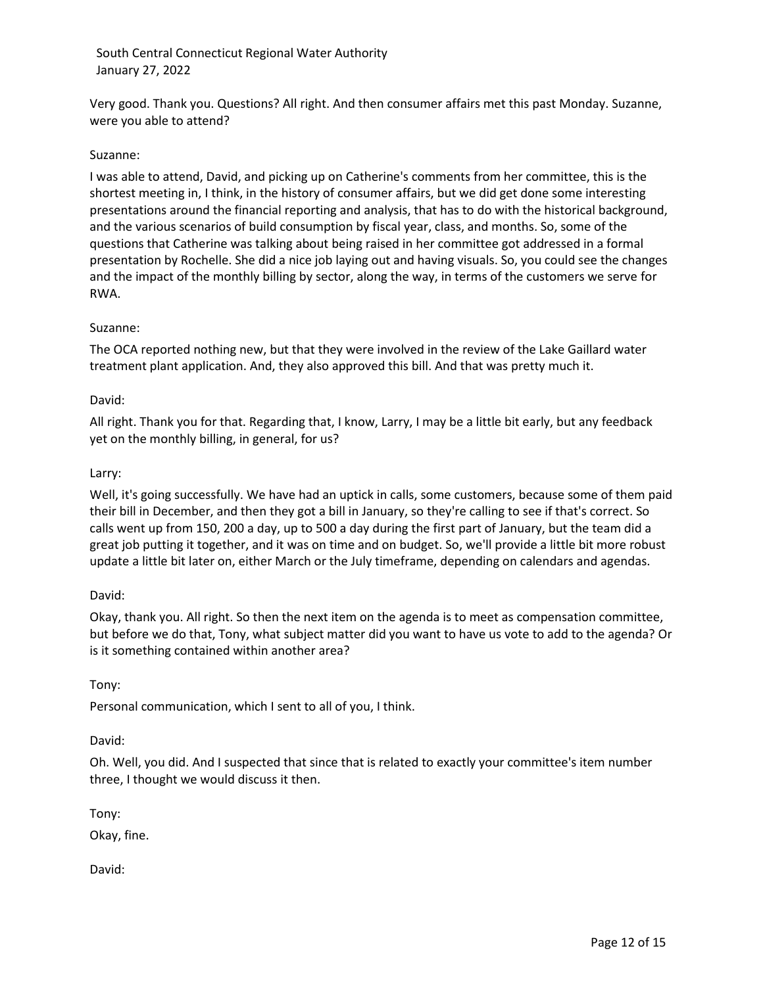Very good. Thank you. Questions? All right. And then consumer affairs met this past Monday. Suzanne, were you able to attend?

### Suzanne:

I was able to attend, David, and picking up on Catherine's comments from her committee, this is the shortest meeting in, I think, in the history of consumer affairs, but we did get done some interesting presentations around the financial reporting and analysis, that has to do with the historical background, and the various scenarios of build consumption by fiscal year, class, and months. So, some of the questions that Catherine was talking about being raised in her committee got addressed in a formal presentation by Rochelle. She did a nice job laying out and having visuals. So, you could see the changes and the impact of the monthly billing by sector, along the way, in terms of the customers we serve for RWA.

### Suzanne:

The OCA reported nothing new, but that they were involved in the review of the Lake Gaillard water treatment plant application. And, they also approved this bill. And that was pretty much it.

### David:

All right. Thank you for that. Regarding that, I know, Larry, I may be a little bit early, but any feedback yet on the monthly billing, in general, for us?

### Larry:

Well, it's going successfully. We have had an uptick in calls, some customers, because some of them paid their bill in December, and then they got a bill in January, so they're calling to see if that's correct. So calls went up from 150, 200 a day, up to 500 a day during the first part of January, but the team did a great job putting it together, and it was on time and on budget. So, we'll provide a little bit more robust update a little bit later on, either March or the July timeframe, depending on calendars and agendas.

## David:

Okay, thank you. All right. So then the next item on the agenda is to meet as compensation committee, but before we do that, Tony, what subject matter did you want to have us vote to add to the agenda? Or is it something contained within another area?

#### Tony:

Personal communication, which I sent to all of you, I think.

#### David:

Oh. Well, you did. And I suspected that since that is related to exactly your committee's item number three, I thought we would discuss it then.

Tony:

Okay, fine.

David: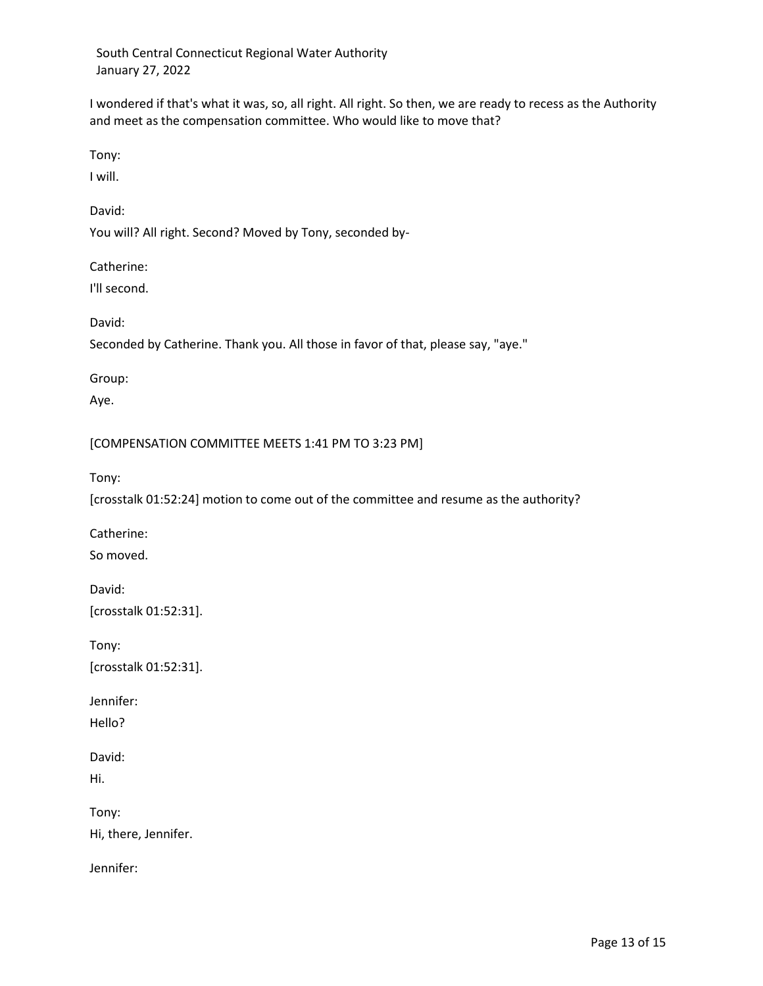I wondered if that's what it was, so, all right. All right. So then, we are ready to recess as the Authority and meet as the compensation committee. Who would like to move that?

Tony:

I will.

David:

You will? All right. Second? Moved by Tony, seconded by-

Catherine:

I'll second.

David:

Seconded by Catherine. Thank you. All those in favor of that, please say, "aye."

Group:

Aye.

[COMPENSATION COMMITTEE MEETS 1:41 PM TO 3:23 PM]

Tony:

[crosstalk 01:52:24] motion to come out of the committee and resume as the authority?

Catherine: So moved.

David: [crosstalk 01:52:31].

Tony: [crosstalk 01:52:31].

Jennifer:

Hello?

David:

Hi.

Tony: Hi, there, Jennifer.

Jennifer: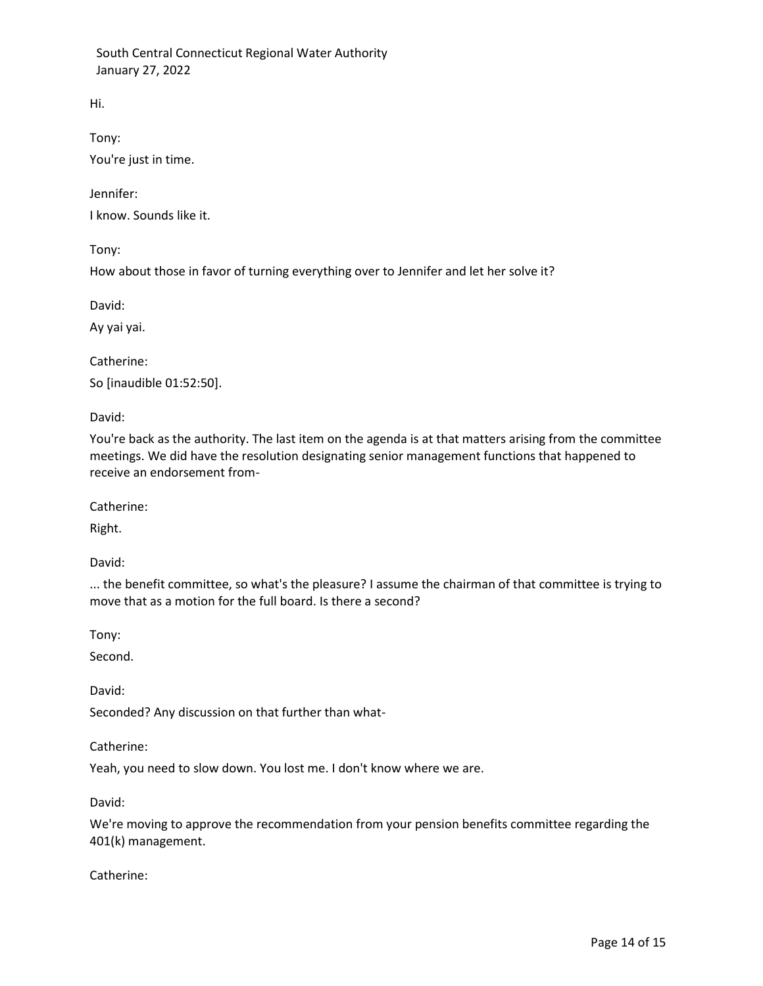Hi.

Tony:

You're just in time.

Jennifer:

I know. Sounds like it.

Tony:

How about those in favor of turning everything over to Jennifer and let her solve it?

David:

Ay yai yai.

Catherine:

So [inaudible 01:52:50].

David:

You're back as the authority. The last item on the agenda is at that matters arising from the committee meetings. We did have the resolution designating senior management functions that happened to receive an endorsement from-

Catherine:

Right.

David:

... the benefit committee, so what's the pleasure? I assume the chairman of that committee is trying to move that as a motion for the full board. Is there a second?

Tony:

Second.

David:

Seconded? Any discussion on that further than what-

Catherine:

Yeah, you need to slow down. You lost me. I don't know where we are.

David:

We're moving to approve the recommendation from your pension benefits committee regarding the 401(k) management.

Catherine: